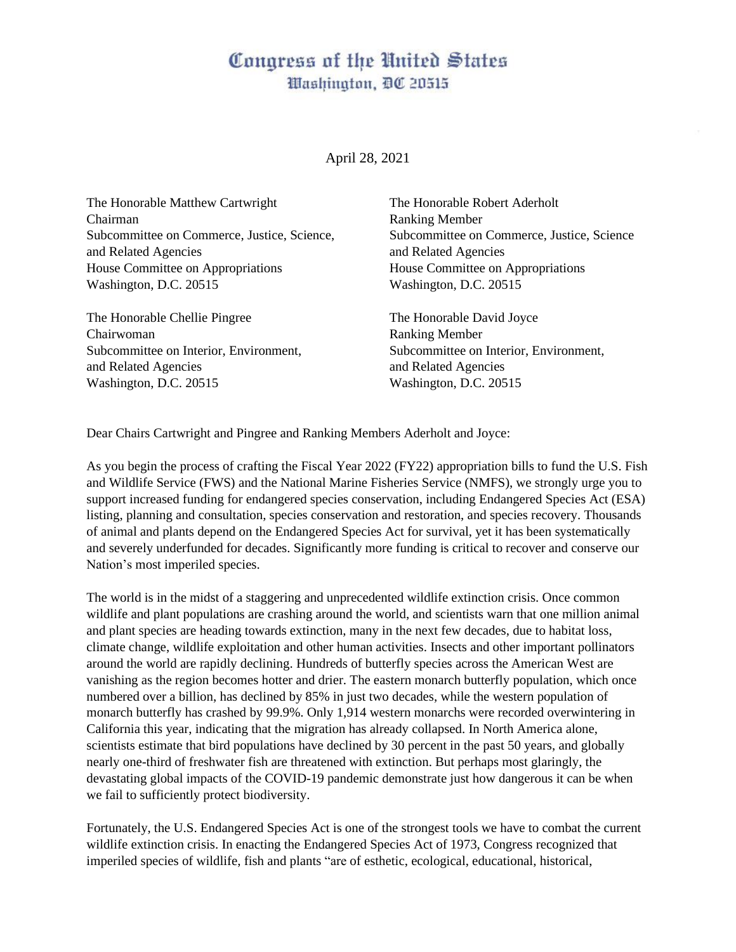# Congress of the United States Washington, DC 20515

#### April 28, 2021

The Honorable Matthew Cartwright The Honorable Robert Aderholt Chairman Ranking Member Subcommittee on Commerce, Justice, Science, Subcommittee on Commerce, Justice, Science and Related Agencies and Related Agencies House Committee on Appropriations House Committee on Appropriations Washington, D.C. 20515 Washington, D.C. 20515

The Honorable Chellie Pingree The Honorable David Joyce Chairwoman Ranking Member Subcommittee on Interior, Environment, Subcommittee on Interior, Environment, and Related Agencies and Related Agencies Washington, D.C. 20515 Washington, D.C. 20515

Dear Chairs Cartwright and Pingree and Ranking Members Aderholt and Joyce:

As you begin the process of crafting the Fiscal Year 2022 (FY22) appropriation bills to fund the U.S. Fish and Wildlife Service (FWS) and the National Marine Fisheries Service (NMFS), we strongly urge you to support increased funding for endangered species conservation, including Endangered Species Act (ESA) listing, planning and consultation, species conservation and restoration, and species recovery. Thousands of animal and plants depend on the Endangered Species Act for survival, yet it has been systematically and severely underfunded for decades. Significantly more funding is critical to recover and conserve our Nation's most imperiled species.

The world is in the midst of a staggering and unprecedented wildlife extinction crisis. Once common wildlife and plant populations are crashing around the world, and scientists warn that one million animal and plant species are heading towards extinction, many in the next few decades, due to habitat loss, climate change, wildlife exploitation and other human activities. Insects and other important pollinators around the world are rapidly declining. Hundreds of butterfly species across the American West are vanishing as the region becomes hotter and drier. The eastern monarch butterfly population, which once numbered over a billion, has declined by 85% in just two decades, while the western population of monarch butterfly has crashed by 99.9%. Only 1,914 western monarchs were recorded overwintering in California this year, indicating that the migration has already collapsed. In North America alone, scientists estimate that bird populations have declined by 30 percent in the past 50 years, and globally nearly one-third of freshwater fish are threatened with extinction. But perhaps most glaringly, the devastating global impacts of the COVID-19 pandemic demonstrate just how dangerous it can be when we fail to sufficiently protect biodiversity.

Fortunately, the U.S. Endangered Species Act is one of the strongest tools we have to combat the current wildlife extinction crisis. In enacting the Endangered Species Act of 1973, Congress recognized that imperiled species of wildlife, fish and plants "are of esthetic, ecological, educational, historical,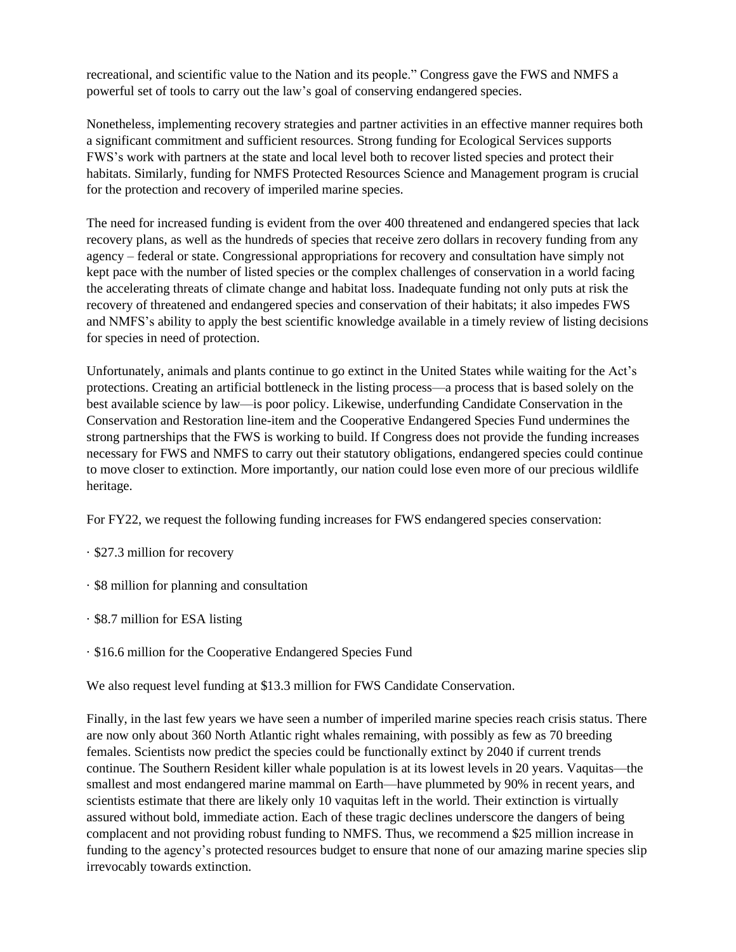recreational, and scientific value to the Nation and its people." Congress gave the FWS and NMFS a powerful set of tools to carry out the law's goal of conserving endangered species.

Nonetheless, implementing recovery strategies and partner activities in an effective manner requires both a significant commitment and sufficient resources. Strong funding for Ecological Services supports FWS's work with partners at the state and local level both to recover listed species and protect their habitats. Similarly, funding for NMFS Protected Resources Science and Management program is crucial for the protection and recovery of imperiled marine species.

The need for increased funding is evident from the over 400 threatened and endangered species that lack recovery plans, as well as the hundreds of species that receive zero dollars in recovery funding from any agency – federal or state. Congressional appropriations for recovery and consultation have simply not kept pace with the number of listed species or the complex challenges of conservation in a world facing the accelerating threats of climate change and habitat loss. Inadequate funding not only puts at risk the recovery of threatened and endangered species and conservation of their habitats; it also impedes FWS and NMFS's ability to apply the best scientific knowledge available in a timely review of listing decisions for species in need of protection.

Unfortunately, animals and plants continue to go extinct in the United States while waiting for the Act's protections. Creating an artificial bottleneck in the listing process—a process that is based solely on the best available science by law—is poor policy. Likewise, underfunding Candidate Conservation in the Conservation and Restoration line-item and the Cooperative Endangered Species Fund undermines the strong partnerships that the FWS is working to build. If Congress does not provide the funding increases necessary for FWS and NMFS to carry out their statutory obligations, endangered species could continue to move closer to extinction. More importantly, our nation could lose even more of our precious wildlife heritage.

For FY22, we request the following funding increases for FWS endangered species conservation:

- · \$27.3 million for recovery
- · \$8 million for planning and consultation
- · \$8.7 million for ESA listing
- · \$16.6 million for the Cooperative Endangered Species Fund

We also request level funding at \$13.3 million for FWS Candidate Conservation.

Finally, in the last few years we have seen a number of imperiled marine species reach crisis status. There are now only about 360 North Atlantic right whales remaining, with possibly as few as 70 breeding females. Scientists now predict the species could be functionally extinct by 2040 if current trends continue. The Southern Resident killer whale population is at its lowest levels in 20 years. Vaquitas—the smallest and most endangered marine mammal on Earth—have plummeted by 90% in recent years, and scientists estimate that there are likely only 10 vaquitas left in the world. Their extinction is virtually assured without bold, immediate action. Each of these tragic declines underscore the dangers of being complacent and not providing robust funding to NMFS. Thus, we recommend a \$25 million increase in funding to the agency's protected resources budget to ensure that none of our amazing marine species slip irrevocably towards extinction.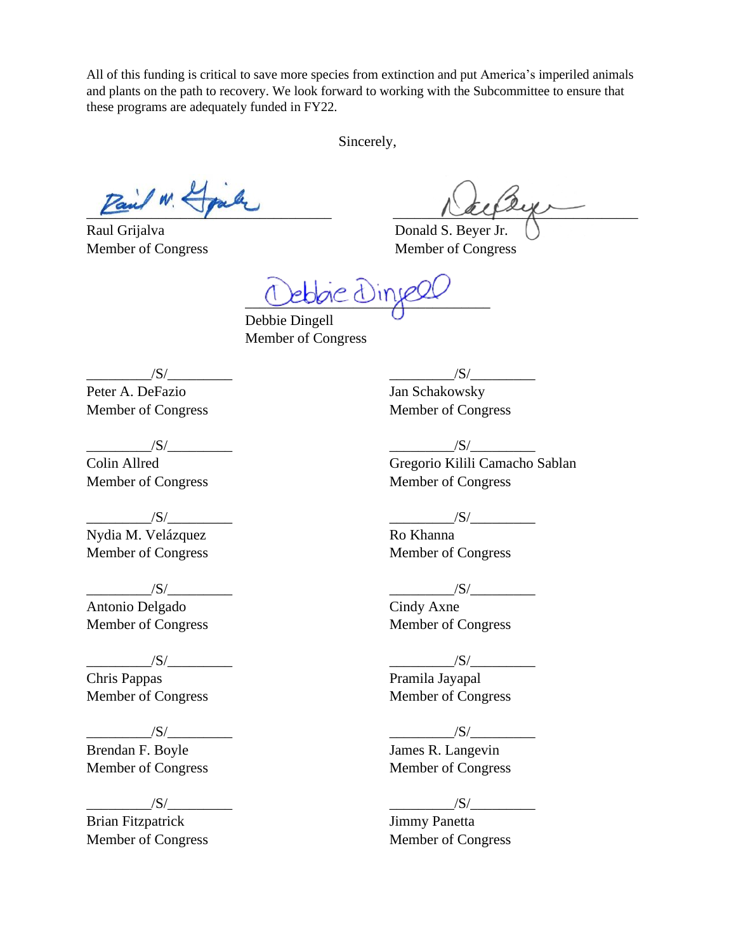All of this funding is critical to save more species from extinction and put America's imperiled animals and plants on the path to recovery. We look forward to working with the Subcommittee to ensure that these programs are adequately funded in FY22.

Sincerely,

Raul Grijalva Donald S. Beyer Jr.

 $\frac{1}{2}$ 

Member of Congress Member of Congress

\_\_\_\_\_\_\_\_\_\_\_\_\_\_\_\_\_\_\_\_\_\_\_\_\_\_\_\_\_\_\_\_\_\_

 Debbie Dingell Member of Congress

 $\sqrt{S}/$ 

Peter A. DeFazio Member of Congress

 $/S/$ 

Colin Allred Member of Congress

 $\overline{\phantom{a}1}$   $\overline{\phantom{a}1}$   $\overline{\phantom{a}1}$   $\overline{\phantom{a}1}$   $\overline{\phantom{a}1}$   $\overline{\phantom{a}1}$   $\overline{\phantom{a}1}$   $\overline{\phantom{a}1}$   $\overline{\phantom{a}1}$   $\overline{\phantom{a}1}$   $\overline{\phantom{a}1}$   $\overline{\phantom{a}1}$   $\overline{\phantom{a}1}$   $\overline{\phantom{a}1}$   $\overline{\phantom{a}1}$   $\overline{\phantom{a}1$ Nydia M. Velázquez Member of Congress

 $/S/$ 

Antonio Delgado Member of Congress

 $/S/$ 

Chris Pappas Member of Congress

# $|S|$

Brendan F. Boyle Member of Congress

 $\frac{|S|}{|S|}$ 

Brian Fitzpatrick Member of Congress  $/S/$ 

Jan Schakowsky Member of Congress

 $\frac{|S|}{|S|}$ Gregorio Kilili Camacho Sablan Member of Congress

# $/S/\sim$

Ro Khanna Member of Congress

 $/S/$ 

Cindy Axne Member of Congress

#### $/S/$

Pramila Jayapal Member of Congress

#### $/S/$

James R. Langevin Member of Congress

#### $\frac{1}{\sqrt{S}}$

Jimmy Panetta Member of Congress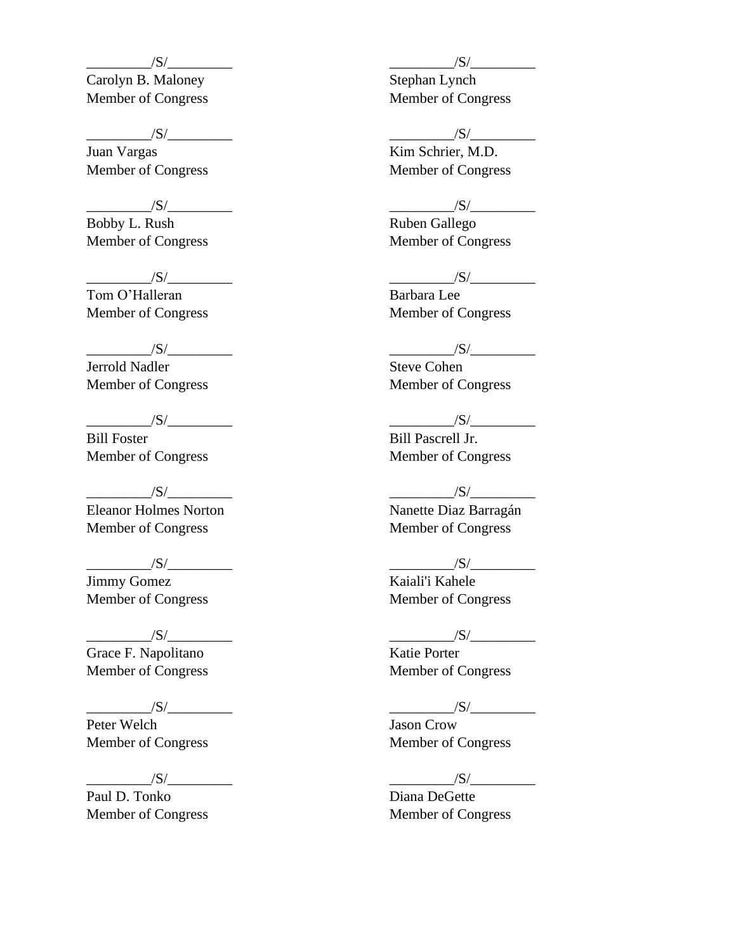Carolyn B. Maloney Member of Congress

 $/S/$ 

Juan Vargas Member of Congress

 $/S/$ 

Bobby L. Rush Member of Congress

 $\frac{1}{\sqrt{S}}$ Tom O'Halleran Member of Congress

 $/S/\sim$ Jerrold Nadler Member of Congress

 $\frac{|S|}{|S|}$ Bill Foster Member of Congress

 $/S/$ Eleanor Holmes Norton Member of Congress

 $/S/$ Jimmy Gomez Member of Congress

 $/S/$ Grace F. Napolitano Member of Congress

 $/S/$ Peter Welch Member of Congress

 $/S/\sim$ 

Paul D. Tonko Member of Congress  $/S/$ 

Stephan Lynch Member of Congress

 $/S/$ 

Kim Schrier, M.D. Member of Congress

 $/S/$ 

Ruben Gallego Member of Congress

### $/S/\sim$

Barbara Lee Member of Congress

# $\frac{|S|}{|S|}$

Steve Cohen Member of Congress

 $\frac{|S|}{|S|}$ Bill Pascrell Jr. Member of Congress

# $/S/\sim$

Nanette Diaz Barragán Member of Congress

 $/S/$ 

Kaiali'i Kahele Member of Congress

### $/S/$

Katie Porter Member of Congress

 $/S/$ 

Jason Crow Member of Congress

\_\_\_\_\_\_\_\_\_/S/\_\_\_\_\_\_\_\_\_

Diana DeGette Member of Congress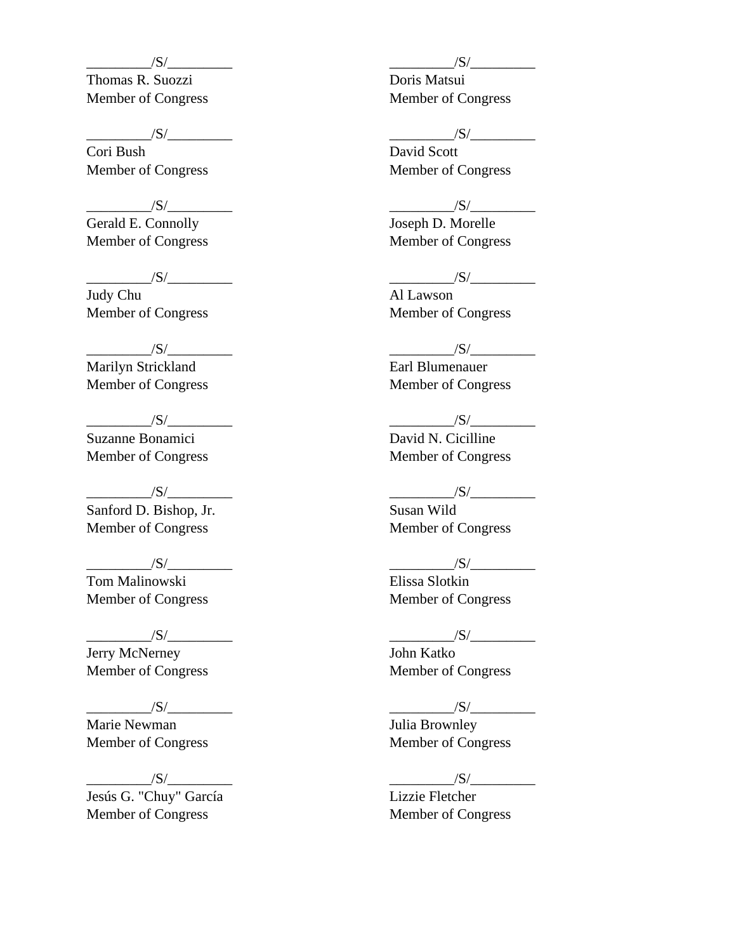Thomas R. Suozzi Member of Congress

 $/S/$ 

Cori Bush Member of Congress

 $/S/$ 

Gerald E. Connolly Member of Congress

 $\frac{|S|}{|S|}$ Judy Chu Member of Congress

 $/S/\sim$ Marilyn Strickland Member of Congress

 $\overline{\phantom{a}}$  /S/ $\overline{\phantom{a}}$ Suzanne Bonamici Member of Congress

 $/S/\sim$ Sanford D. Bishop, Jr. Member of Congress

 $/S/$ Tom Malinowski Member of Congress

 $/S/\sim$ 

Jerry McNerney Member of Congress

 $/S/$ Marie Newman Member of Congress

 $/S/\sim$ Jesús G. "Chuy" García Member of Congress

 $/S/$ 

Doris Matsui Member of Congress

 $/S/$ 

David Scott Member of Congress

 $/S/$ 

Joseph D. Morelle Member of Congress

#### $/S/$

Al Lawson Member of Congress

 $/S/\sim$ 

Earl Blumenauer Member of Congress

 $\overline{\mathcal{S}}$ / $\overline{\mathcal{S}}$ / $\overline{\mathcal{S}}$ / $\overline{\mathcal{S}}$ / $\overline{\mathcal{S}}$ / $\overline{\mathcal{S}}$ / $\overline{\mathcal{S}}$ / $\overline{\mathcal{S}}$ / $\overline{\mathcal{S}}$ / $\overline{\mathcal{S}}$ / $\overline{\mathcal{S}}$ / $\overline{\mathcal{S}}$ / $\overline{\mathcal{S}}$ / $\overline{\mathcal{S}}$ / $\overline{\mathcal{S}}$ / $\overline{\mathcal{S}}$ / $\overline{\mathcal{S}}$ / $\overline{\mathcal{S}}$ / $\overline{\$ David N. Cicilline Member of Congress

# $\frac{|S|}{|S|}$

Susan Wild Member of Congress

 $/S/$ 

Elissa Slotkin Member of Congress

### $/S/$

John Katko Member of Congress

 $\frac{|S|}{|S|}$ 

Julia Brownley Member of Congress

 $\frac{|S|}{|S|}$ 

Lizzie Fletcher Member of Congress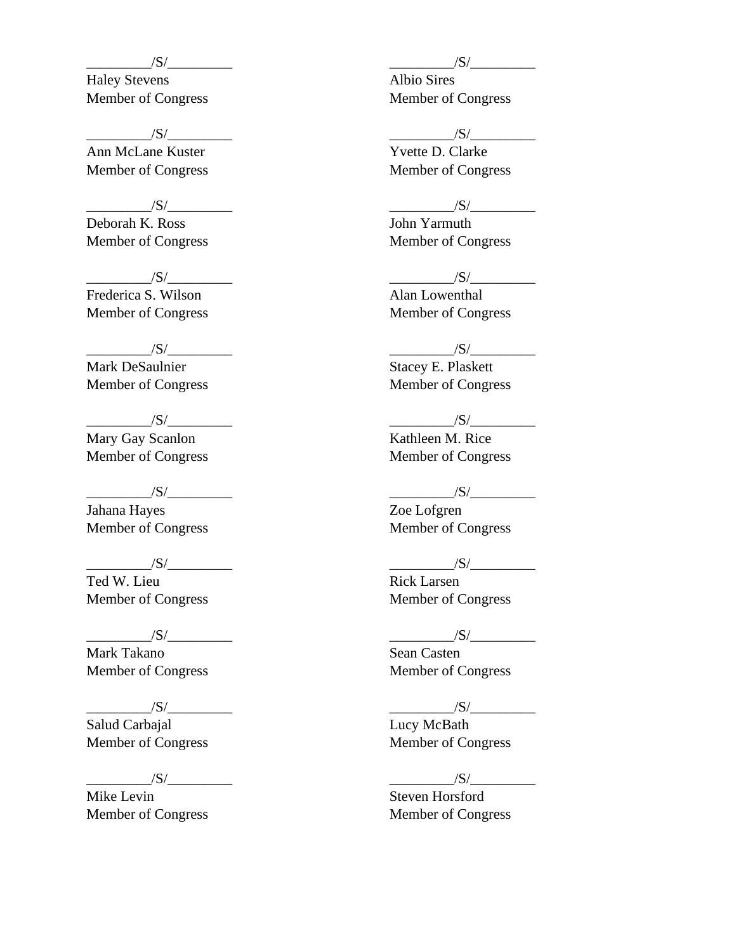Haley Stevens Member of Congress

 $/S/$ 

Ann McLane Kuster Member of Congress

 $/S/$ 

Deborah K. Ross Member of Congress

 $/S/$ Frederica S. Wilson Member of Congress

 $/S/\sim$ Mark DeSaulnier Member of Congress

 $\frac{|S|}{|S|}$ Mary Gay Scanlon Member of Congress

 $\frac{|S|}{|S|}$ Jahana Hayes Member of Congress

 $/S/$ Ted W. Lieu

Member of Congress

 $\frac{|S|}{|S|}$ 

Mark Takano Member of Congress

 $\frac{1}{\sqrt{S}}$ Salud Carbajal Member of Congress

 $/S/\sqrt{S/\frac{S}{S/\frac{S}{S/\frac{S}{S/\frac{S}{S/\frac{S}{S/\frac{S}{S/\frac{S}{S/\frac{S}{S/\frac{S}{S/\frac{S}{S/\frac{S}{S/\frac{S}{S/\frac{S}{S/\frac{S}{S/\frac{S}{S/\frac{S}{S/\frac{S}{S/\frac{S}{S/\frac{S}{S/\frac{S}{S/\frac{S}{S/\frac{S}{S/\frac{S}{S/\frac{S}{S/\frac{S}{S/\frac{S}{S/\frac{S}{S/\frac{S}{S/\frac{S}{S/\frac{S}{S/\frac{S}{S/\frac{S}{S/\frac{S}{S/\frac{S}{S/\frac{S}{S/\frac{S}{$ 

Mike Levin Member of Congress  $/S/$ 

Albio Sires Member of Congress

 $/S/$ 

Yvette D. Clarke Member of Congress

 $/S/$ 

John Yarmuth Member of Congress

 $/S/$ 

Alan Lowenthal Member of Congress

 $/S/$ 

Stacey E. Plaskett Member of Congress

 $/S/\sim$ Kathleen M. Rice Member of Congress

# $\frac{|S|}{|S|}$

Zoe Lofgren Member of Congress

 $\overline{\phantom{a}}$  /S/

Rick Larsen Member of Congress

# $/S/$

Sean Casten Member of Congress

 $\frac{|S|}{|S|}$ 

Lucy McBath Member of Congress

 $/S/\sim$ 

Steven Horsford Member of Congress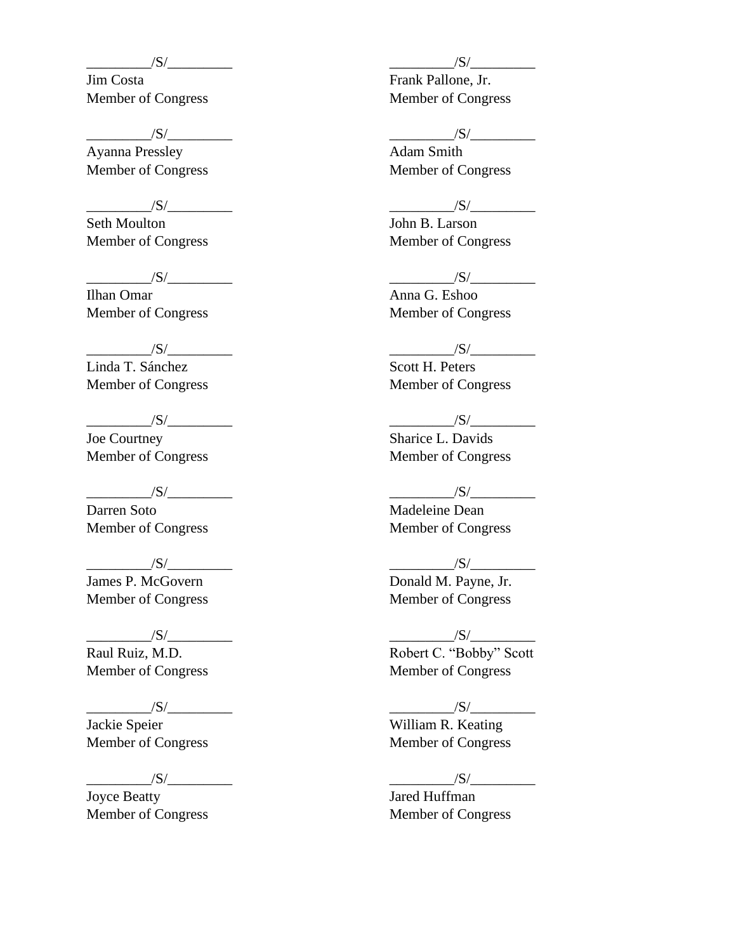Jim Costa Member of Congress

 $/S/$ 

Ayanna Pressley Member of Congress

 $/S/$ 

Seth Moulton Member of Congress

 $/S/\sim$ 

Ilhan Omar Member of Congress

 $/S/\sim$ Linda T. Sánchez Member of Congress

 $\frac{|S|}{|S|}$ Joe Courtney Member of Congress

 $\frac{|S|}{|S|}$ 

Darren Soto Member of Congress

 $/S/$ James P. McGovern Member of Congress

 $/S/$ Raul Ruiz, M.D.

Member of Congress

 $/S/\sim$ 

Jackie Speier Member of Congress

 $\overline{\phantom{a}1}$   $\overline{\phantom{a}1}$   $\overline{\phantom{a}1}$   $\overline{\phantom{a}1}$   $\overline{\phantom{a}1}$   $\overline{\phantom{a}1}$   $\overline{\phantom{a}1}$   $\overline{\phantom{a}1}$   $\overline{\phantom{a}1}$   $\overline{\phantom{a}1}$   $\overline{\phantom{a}1}$   $\overline{\phantom{a}1}$   $\overline{\phantom{a}1}$   $\overline{\phantom{a}1}$   $\overline{\phantom{a}1}$   $\overline{\phantom{a}1$ 

Joyce Beatty Member of Congress  $/S/$ 

Frank Pallone, Jr. Member of Congress

 $/S/$ 

Adam Smith Member of Congress

 $/S/$ 

John B. Larson Member of Congress

#### $/S/\sim$

Anna G. Eshoo Member of Congress

### $/S/$

Scott H. Peters Member of Congress

 $\frac{|S|}{|S|}$ Sharice L. Davids Member of Congress

# $/S/\sim$

Madeleine Dean Member of Congress

 $/S/$ 

Donald M. Payne, Jr. Member of Congress

### $/S/\sim$

Robert C. "Bobby" Scott Member of Congress

 $/S/$ 

William R. Keating Member of Congress

 $\frac{|S|}{|S|}$ 

Jared Huffman Member of Congress